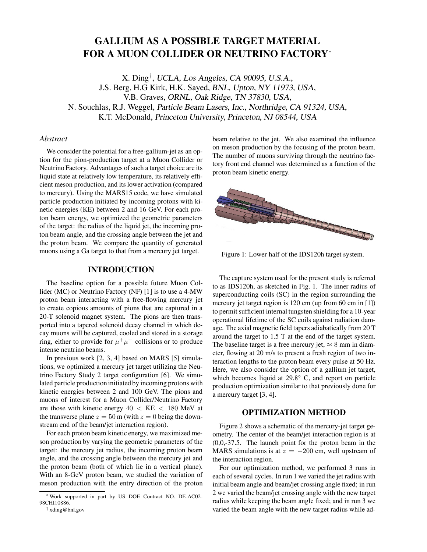# **GALLIUM AS A POSSIBLE TARGET MATERIAL FOR A MUON COLLIDER OR NEUTRINO FACTORY**<sup>∗</sup>

X. Ding*†* , UCLA, Los Angeles, CA 90095, U.S.A., J.S. Berg, H.G Kirk, H.K. Sayed, BNL, Upton, NY 11973, USA, V.B. Graves, ORNL, Oak Ridge, TN 37830, USA, N. Souchlas, R.J. Weggel, Particle Beam Lasers, Inc., Northridge, CA 91324, USA, K.T. McDonald, Princeton University, Princeton, NJ 08544, USA

#### *Abstract*

We consider the potential for a free-gallium-jet as an option for the pion-production target at a Muon Collider or Neutrino Factory. Advantages of such a target choice are its liquid state at relatively low temperature, its relatively efficient meson production, and its lower activation (compared to mercury). Using the MARS15 code, we have simulated particle production initiated by incoming protons with kinetic energies (KE) between 2 and 16 GeV. For each proton beam energy, we optimized the geometric parameters of the target: the radius of the liquid jet, the incoming proton beam angle, and the crossing angle between the jet and the proton beam. We compare the quantity of generated muons using a Ga target to that from a mercury jet target.

### **INTRODUCTION**

The baseline option for a possible future Muon Collider (MC) or Neutrino Factory (NF) [1] is to use a 4-MW proton beam interacting with a free-flowing mercury jet to create copious amounts of pions that are captured in a 20-T solenoid magnet system. The pions are then transported into a tapered solenoid decay channel in which decay muons will be captured, cooled and stored in a storage ring, either to provide for  $\mu^+\mu^-$  collisions or to produce intense neutrino beams.

In previous work [2, 3, 4] based on MARS [5] simulations, we optimized a mercury jet target utilizing the Neutrino Factory Study 2 target configuration [6]. We simulated particle production initiated by incoming protons with kinetic energies between 2 and 100 GeV. The pions and muons of interest for a Muon Collider/Neutrino Factory are those with kinetic energy  $40 < KE < 180$  MeV at the transverse plane  $z = 50$  m (with  $z = 0$  being the downstream end of the beam/jet interaction region).

For each proton beam kinetic energy, we maximized meson production by varying the geometric parameters of the target: the mercury jet radius, the incoming proton beam angle, and the crossing angle between the mercury jet and the proton beam (both of which lie in a vertical plane). With an 8-GeV proton beam, we studied the variation of meson production with the entry direction of the proton beam relative to the jet. We also examined the influence on meson production by the focusing of the proton beam. The number of muons surviving through the neutrino factory front end channel was determined as a function of the proton beam kinetic energy.



Figure 1: Lower half of the IDS120h target system.

The capture system used for the present study is referred to as IDS120h, as sketched in Fig. 1. The inner radius of superconducting coils (SC) in the region surrounding the mercury jet target region is 120 cm (up from 60 cm in [1]) to permit sufficient internal tungsten shielding for a 10-year operational lifetime of the SC coils against radiation damage. The axial magnetic field tapers adiabatically from 20 T around the target to 1.5 T at the end of the target system. The baseline target is a free mercury jet,  $\approx 8$  mm in diameter, flowing at 20 m/s to present a fresh region of two interaction lengths to the proton beam every pulse at 50 Hz. Here, we also consider the option of a gallium jet target, which becomes liquid at 29.8◦ C, and report on particle production optimization similar to that previously done for a mercury target [3, 4].

#### **OPTIMIZATION METHOD**

Figure 2 shows a schematic of the mercury-jet target geometry. The center of the beam/jet interaction region is at (0,0,-37.5. The launch point for the proton beam in the MARS simulations is at  $z = -200$  cm, well upstream of the interaction region.

For our optimization method, we performed 3 runs in each of several cycles. In run 1 we varied the jet radius with initial beam angle and beam/jet crossing angle fixed; in run 2 we varied the beam/jet crossing angle with the new target radius while keeping the beam angle fixed; and in run 3 we varied the beam angle with the new target radius while ad-

<sup>∗</sup>Work supported in part by US DOE Contract NO. DE-AC02- 98CHI10886.

<sup>†</sup> xding@bnl.gov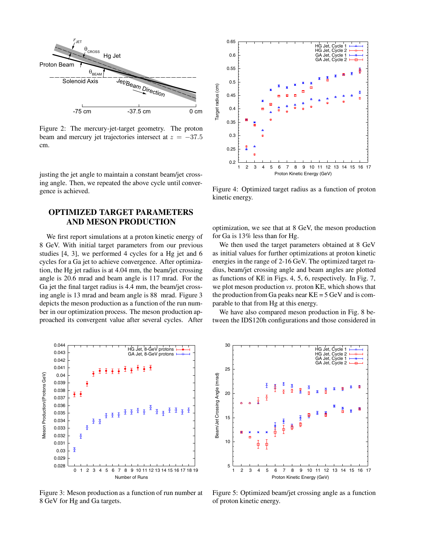

Figure 2: The mercury-jet-target geometry. The proton beam and mercury jet trajectories intersect at  $z = -37.5$ cm.

justing the jet angle to maintain a constant beam/jet crossing angle. Then, we repeated the above cycle until convergence is achieved.

## **OPTIMIZED TARGET PARAMETERS AND MESON PRODUCTION**

We first report simulations at a proton kinetic energy of 8 GeV. With initial target parameters from our previous studies [4, 3], we performed 4 cycles for a Hg jet and 6 cycles for a Ga jet to achieve convergence. After optimization, the Hg jet radius is at 4.04 mm, the beam/jet crossing angle is 20.6 mrad and beam angle is 117 mrad. For the Ga jet the final target radius is 4.4 mm, the beam/jet crossing angle is 13 mrad and beam angle is 88 mrad. Figure 3 depicts the meson production as a function of the run number in our optimization process. The meson production approached its convergent value after several cycles. After



Figure 3: Meson production as a function of run number at 8 GeV for Hg and Ga targets.



Figure 4: Optimized target radius as a function of proton kinetic energy.

optimization, we see that at 8 GeV, the meson production for Ga is 13% less than for Hg.

We then used the target parameters obtained at 8 GeV as initial values for further optimizations at proton kinetic energies in the range of 2-16 GeV. The optimized target radius, beam/jet crossing angle and beam angles are plotted as functions of KE in Figs. 4, 5, 6, respectively. In Fig. 7, we plot meson production *vs*. proton KE, which shows that the production from Ga peaks near  $KE = 5$  GeV and is comparable to that from Hg at this energy.

We have also compared meson production in Fig. 8 between the IDS120h configurations and those considered in



Figure 5: Optimized beam/jet crossing angle as a function of proton kinetic energy.